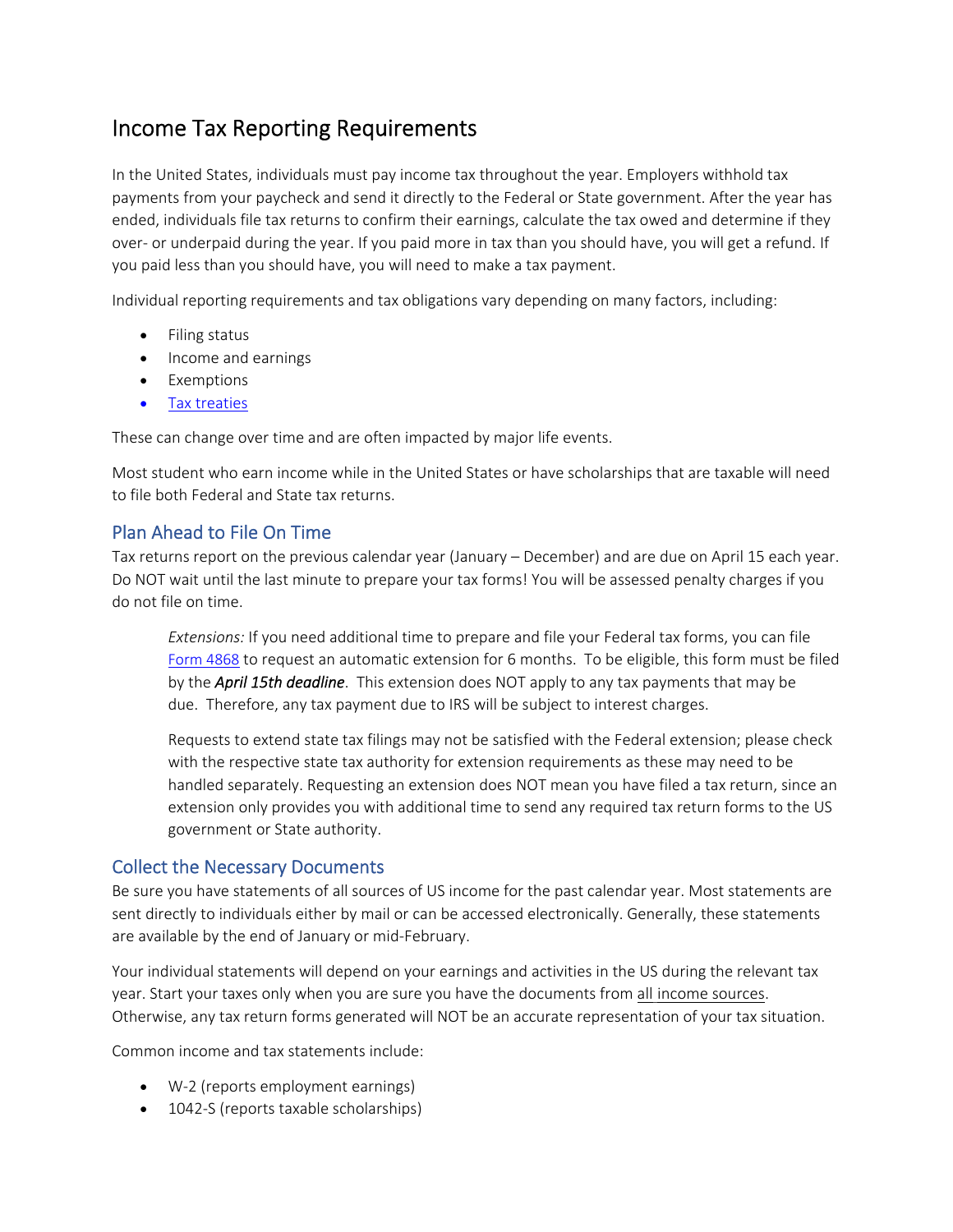## Income Tax Reporting Requirements

In the United States, individuals must pay income tax throughout the year. Employers withhold tax payments from your paycheck and send it directly to the Federal or State government. After the year has ended, individuals file tax returns to confirm their earnings, calculate the tax owed and determine if they over- or underpaid during the year. If you paid more in tax than you should have, you will get a refund. If you paid less than you should have, you will need to make a tax payment.

Individual reporting requirements and tax obligations vary depending on many factors, including:

- Filing status
- Income and earnings
- Exemptions
- Tax treaties

These can change over time and are often impacted by major life events.

Most student who earn income while in the United States or have scholarships that are taxable will need to file both Federal and State tax returns.

#### Plan Ahead to File On Time

Tax returns report on the previous calendar year (January – December) and are due on April 15 each year. Do NOT wait until the last minute to prepare your tax forms! You will be assessed penalty charges if you do not file on time.

*Extensions:* If you need additional time to prepare and file your Federal tax forms, you can file Form 4868 to request an automatic extension for 6 months. To be eligible, this form must be filed by the *April 15th deadline*. This extension does NOT apply to any tax payments that may be due. Therefore, any tax payment due to IRS will be subject to interest charges.

Requests to extend state tax filings may not be satisfied with the Federal extension; please check with the respective state tax authority for extension requirements as these may need to be handled separately. Requesting an extension does NOT mean you have filed a tax return, since an extension only provides you with additional time to send any required tax return forms to the US government or State authority.

#### Collect the Necessary Documents

Be sure you have statements of all sources of US income for the past calendar year. Most statements are sent directly to individuals either by mail or can be accessed electronically. Generally, these statements are available by the end of January or mid‐February.

Your individual statements will depend on your earnings and activities in the US during the relevant tax year. Start your taxes only when you are sure you have the documents from all income sources. Otherwise, any tax return forms generated will NOT be an accurate representation of your tax situation.

Common income and tax statements include:

- W‐2 (reports employment earnings)
- 1042-S (reports taxable scholarships)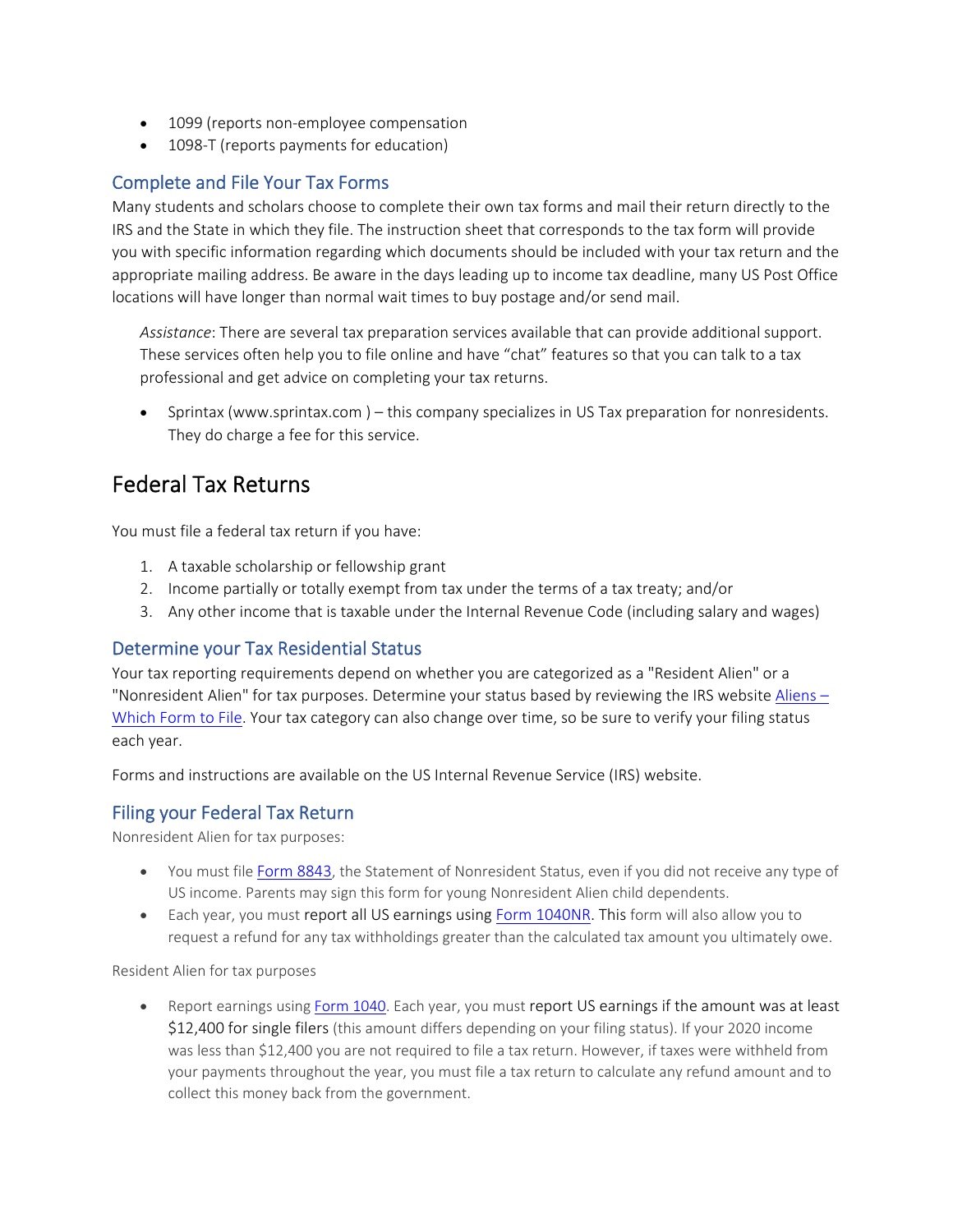- 1099 (reports non-employee compensation
- 1098-T (reports payments for education)

#### Complete and File Your Tax Forms

Many students and scholars choose to complete their own tax forms and mail their return directly to the IRS and the State in which they file. The instruction sheet that corresponds to the tax form will provide you with specific information regarding which documents should be included with your tax return and the appropriate mailing address. Be aware in the days leading up to income tax deadline, many US Post Office locations will have longer than normal wait times to buy postage and/or send mail.

*Assistance*: There are several tax preparation services available that can provide additional support. These services often help you to file online and have "chat" features so that you can talk to a tax professional and get advice on completing your tax returns.

 Sprintax (www.sprintax.com ) – this company specializes in US Tax preparation for nonresidents. They do charge a fee for this service.

### Federal Tax Returns

You must file a federal tax return if you have:

- 1. A taxable scholarship or fellowship grant
- 2. Income partially or totally exempt from tax under the terms of a tax treaty; and/or
- 3. Any other income that is taxable under the Internal Revenue Code (including salary and wages)

#### Determine your Tax Residential Status

Your tax reporting requirements depend on whether you are categorized as a "Resident Alien" or a "Nonresident Alien" for tax purposes. Determine your status based by reviewing the IRS website Aliens – Which Form to File. Your tax category can also change over time, so be sure to verify your filing status each year.

Forms and instructions are available on the US Internal Revenue Service (IRS) website.

#### Filing your Federal Tax Return

Nonresident Alien for tax purposes:

- You must file Form 8843, the Statement of Nonresident Status, even if you did not receive any type of US income. Parents may sign this form for young Nonresident Alien child dependents.
- Each year, you must report all US earnings using Form 1040NR. This form will also allow you to request a refund for any tax withholdings greater than the calculated tax amount you ultimately owe.

Resident Alien for tax purposes

• Report earnings using Form 1040. Each year, you must report US earnings if the amount was at least \$12,400 for single filers (this amount differs depending on your filing status). If your 2020 income was less than \$12,400 you are not required to file a tax return. However, if taxes were withheld from your payments throughout the year, you must file a tax return to calculate any refund amount and to collect this money back from the government.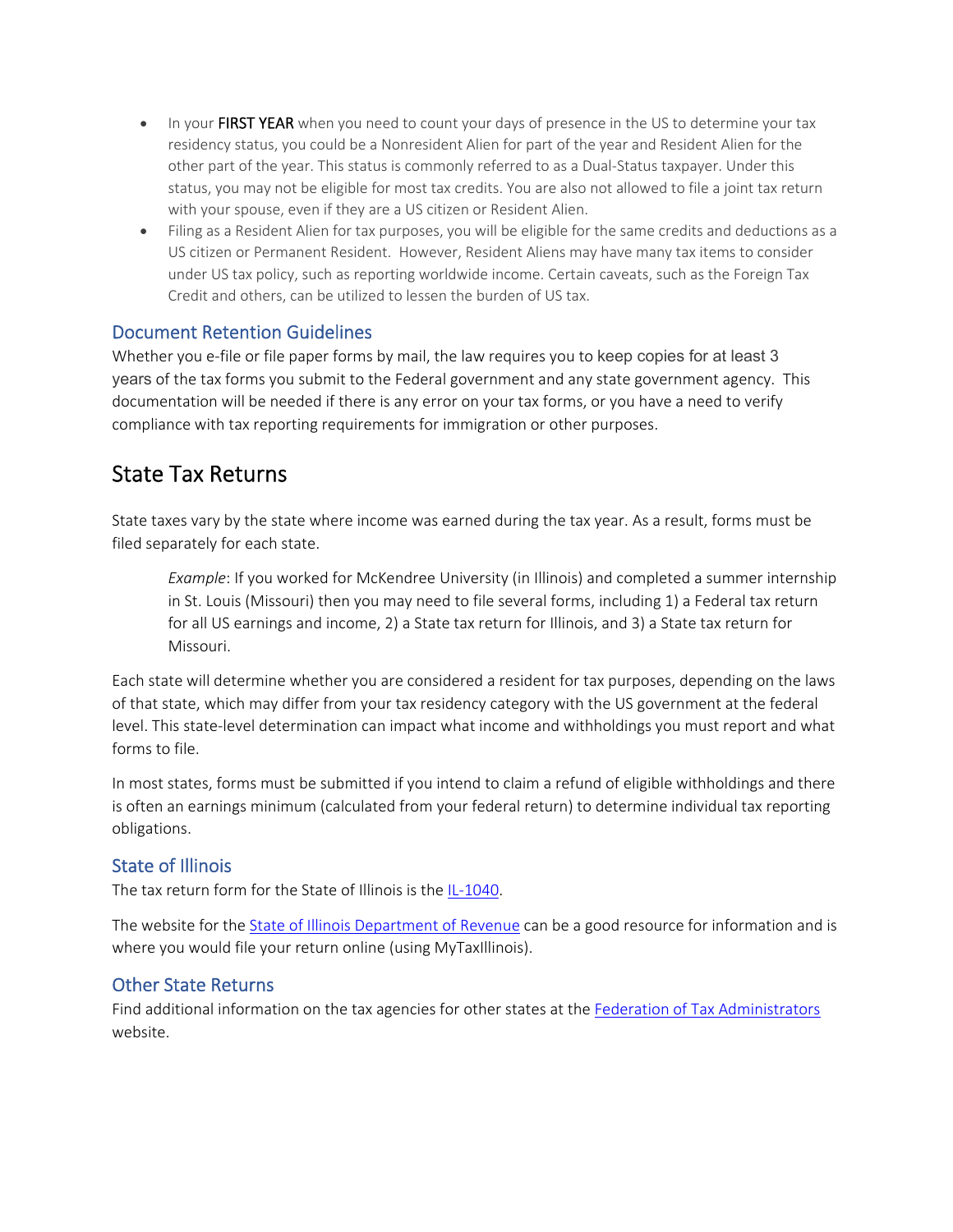- In your FIRST YEAR when you need to count your days of presence in the US to determine your tax residency status, you could be a Nonresident Alien for part of the year and Resident Alien for the other part of the year. This status is commonly referred to as a Dual‐Status taxpayer. Under this status, you may not be eligible for most tax credits. You are also not allowed to file a joint tax return with your spouse, even if they are a US citizen or Resident Alien.
- Filing as a Resident Alien for tax purposes, you will be eligible for the same credits and deductions as a US citizen or Permanent Resident. However, Resident Aliens may have many tax items to consider under US tax policy, such as reporting worldwide income. Certain caveats, such as the Foreign Tax Credit and others, can be utilized to lessen the burden of US tax.

#### Document Retention Guidelines

Whether you e-file or file paper forms by mail, the law requires you to keep copies for at least 3 years of the tax forms you submit to the Federal government and any state government agency. This documentation will be needed if there is any error on your tax forms, or you have a need to verify compliance with tax reporting requirements for immigration or other purposes.

### State Tax Returns

State taxes vary by the state where income was earned during the tax year. As a result, forms must be filed separately for each state.

*Example*: If you worked for McKendree University (in Illinois) and completed a summer internship in St. Louis (Missouri) then you may need to file several forms, including 1) a Federal tax return for all US earnings and income, 2) a State tax return for Illinois, and 3) a State tax return for Missouri.

Each state will determine whether you are considered a resident for tax purposes, depending on the laws of that state, which may differ from your tax residency category with the US government at the federal level. This state‐level determination can impact what income and withholdings you must report and what forms to file.

In most states, forms must be submitted if you intend to claim a refund of eligible withholdings and there is often an earnings minimum (calculated from your federal return) to determine individual tax reporting obligations.

### State of Illinois

The tax return form for the State of Illinois is the IL-1040.

The website for the State of Illinois Department of Revenue can be a good resource for information and is where you would file your return online (using MyTaxIllinois).

#### Other State Returns

Find additional information on the tax agencies for other states at the Federation of Tax Administrators website.